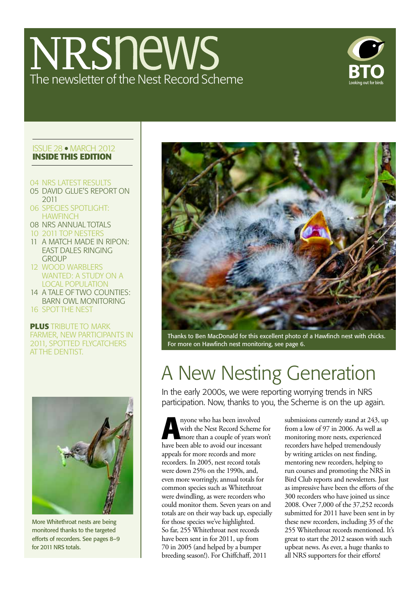## NRSnews The newsletter of the Nest Record Scheme



### Issue 28 march 2012 **Inside this edition**

- 04 NRS LATEST RESULTS
- 05 DAVID GLUE'S REPORT ON 2011
- 06 SPECIES SPOTLIGHT: **HAWFINCH**
- 08 NRS ANNUAL TOTALS
- 10 2011 TOP NESTERS
- 11 A MATCH MADE IN RIPON: EAST DALES RINGING **GROUP**
- 12 WOOD WARBLERS WANTED: A STUDY ON A LOCAL POPULATION
- 14 A TALE OF TWO COUNTIES: BARN OWL MONITORING
- 16 SPOT THE NEST

### **plus** TRIBUTE TO MARK FARMER, NEW PARTICIPANTS IN 2011, SPOTTED FLYCATCHERS AT THE DENTIST.



More Whitethroat nests are being monitored thanks to the targeted efforts of recorders. See pages 8–9 for 2011 NRS totals.



Thanks to Ben MacDonald for this excellent photo of a Hawfinch nest with chicks. For more on Hawfinch nest monitoring, see page 6.

## A New Nesting Generation

In the early 2000s, we were reporting worrying trends in NRS participation. Now, thanks to you, the Scheme is on the up again.

**A A** nyone who has been involved<br>with the Nest Record Scheme<br>more than a couple of years we<br>have been able to avaid our increased with the Nest Record Scheme for more than a couple of years won't have been able to avoid our incessant appeals for more records and more recorders. In 2005, nest record totals were down 25% on the 1990s, and, even more worringly, annual totals for common species such as Whitethroat were dwindling, as were recorders who could monitor them. Seven years on and totals are on their way back up, especially for those species we've highlighted. So far, 255 Whitethroat nest records have been sent in for 2011, up from 70 in 2005 (and helped by a bumper breeding season!). For Chiffchaff, 2011

submissions currently stand at 243, up from a low of 97 in 2006. As well as monitoring more nests, experienced recorders have helped tremendously by writing articles on nest finding, mentoring new recorders, helping to run courses and promoting the NRS in Bird Club reports and newsletters. Just as impressive have been the efforts of the 300 recorders who have joined us since 2008. Over 7,000 of the 37,252 records submitted for 2011 have been sent in by these new recorders, including 35 of the 255 Whitethroat records mentioned. It's great to start the 2012 season with such upbeat news. As ever, a huge thanks to all NRS supporters for their efforts!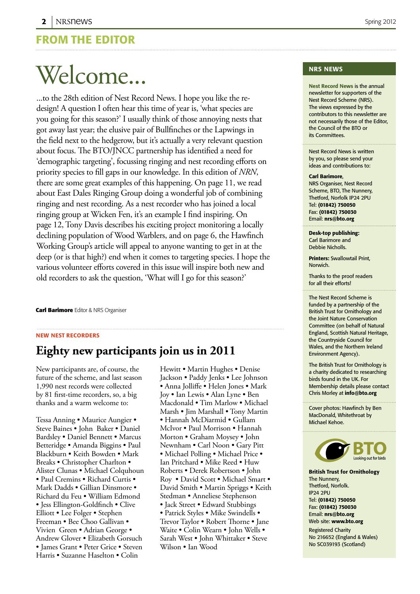### From the editor

## Welcome...

...to the 28th edition of Nest Record News. I hope you like the redesign! A question I often hear this time of year is, 'what species are you going for this season?' I usually think of those annoying nests that got away last year; the elusive pair of Bullfinches or the Lapwings in the field next to the hedgerow, but it's actually a very relevant question about focus. The BTO/JNCC partnership has identified a need for 'demographic targeting', focussing ringing and nest recording efforts on priority species to fill gaps in our knowledge. In this edition of *NRN*, there are some great examples of this happening. On page 11, we read about East Dales Ringing Group doing a wonderful job of combining ringing and nest recording. As a nest recorder who has joined a local ringing group at Wicken Fen, it's an example I find inspiring. On page 12, Tony Davis describes his exciting project monitoring a locally declining population of Wood Warblers, and on page 6, the Hawfinch Working Group's article will appeal to anyone wanting to get in at the deep (or is that high?) end when it comes to targeting species. I hope the various volunteer efforts covered in this issue will inspire both new and old recorders to ask the question, 'What will I go for this season?'

**Carl Barimore** Editor & NRS Organiser

### new nest recorders

### **Eighty new participants join us in 2011**

New participants are, of course, the future of the scheme, and last season 1,990 nest records were collected by 81 first-time recorders, so, a big thanks and a warm welcome to:

Tessa Anning • Maurice Aungier • Steve Baines • John Baker • Daniel Bardsley • Daniel Bennett • Marcus Betteridge • Amanda Biggins • Paul Blackburn • Keith Bowden • Mark Breaks • Christopher Charlton • Alister Clunas • Michael Colquhoun • Paul Cremins • Richard Curtis • Mark Dadds • Gillian Dinsmore • Richard du Feu • William Edmond • Jess Ellington-Goldfinch • Clive Elliott • Lee Folger • Stephen Freeman • Bee Choo Gallivan • Vivien Green • Adrian George • Andrew Glover • Elizabeth Gorsuch • James Grant • Peter Grice • Steven Harris • Suzanne Haselton • Colin

Hewitt • Martin Hughes • Denise Jackson • Paddy Jenks • Lee Johnson • Anna Jolliffe • Helen Jones • Mark Joy • Ian Lewis • Alan Lyne • Ben Macdonald • Tim Marlow • Michael Marsh • Jim Marshall • Tony Martin • Hannah McDiarmid • Gullam McIvor • Paul Morrison • Hannah Morton • Graham Moysey • John Newnham • Carl Noon • Gary Pitt • Michael Polling • Michael Price • Ian Pritchard • Mike Reed • Huw Roberts • Derek Robertson • John Roy • David Scott • Michael Smart • David Smith • Martin Spriggs • Keith Stedman • Anneliese Stephenson • Jack Street • Edward Stubbings • Patrick Styles • Mike Swindells • Trevor Taylor • Robert Thorne • Jane Waite • Colin Wearn • John Wells • Sarah West • John Whittaker • Steve Wilson • Ian Wood

### nrs News

Nest Record News is the annual newsletter for supporters of the Nest Record Scheme (NRS). The views expressed by the contributors to this newsletter are not necessarily those of the Editor, the Council of the BTO or its Committees.

Nest Record News is written by you, so please send your ideas and contributions to:

#### Carl Barimore,

NRS Organiser, Nest Record Scheme, BTO, The Nunnery, Thetford, Norfolk IP24 2PU Tel: (01842) 750050 Fax: (01842) 750030 Email: nrs@bto.org

Desk-top publishing: Carl Barimore and Debbie Nicholls.

Printers: Swallowtail Print, Norwich.

Thanks to the proof readers for all their efforts!

The Nest Record Scheme is funded by a partnership of the British Trust for Ornithology and the Joint Nature Conservation Committee (on behalf of Natural England, Scottish Natural Heritage, the Countryside Council for Wales, and the Northern Ireland Environment Agency).

The British Trust for Ornithology is a charity dedicated to researching birds found in the UK. For Membership details please contact Chris Morley at info@bto.org

Cover photos: Hawfinch by Ben MacDonald, Whitethroat by Michael Kehoe.



British Trust for Ornithology The Nunnery, Thetford, Norfolk. IP24 2PU Tel: (01842) 750050 Fax: (01842) 750030 Email: nrs@bto.org Web site: www.bto.org

Registered Charity No 216652 (England & Wales) No SC039193 (Scotland)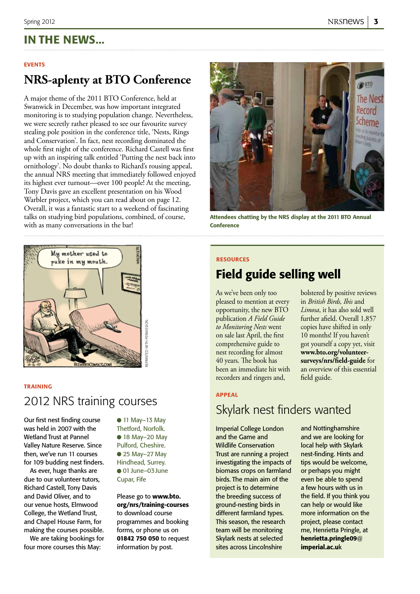### In the news...

#### **EVENTS**

### **NRS-aplenty at BTO Conference**

A major theme of the 2011 BTO Conference, held at Swanwick in December, was how important integrated monitoring is to studying population change. Nevertheless, we were secretly rather pleased to see our favourite survey stealing pole position in the conference title, 'Nests, Rings and Conservation'. In fact, nest recording dominated the whole first night of the conference. Richard Castell was first up with an inspiring talk entitled 'Putting the nest back into ornithology'. No doubt thanks to Richard's rousing appeal, the annual NRS meeting that immediately followed enjoyed its highest ever turnout—over 100 people! At the meeting, Tony Davis gave an excellent presentation on his Wood Warbler project, which you can read about on page 12. Overall, it was a fantastic start to a weekend of fascinating talks on studying bird populations, combined, of course, with as many conversations in the bar!



Attendees chatting by the NRS display at the 2011 BTO Annual **Conference** 



#### **TRAINING**

### 2012 NRS training courses

Our first nest finding course was held in 2007 with the Wetland Trust at Pannel Valley Nature Reserve. Since then, we've run 11 courses for 109 budding nest finders.

As ever, huge thanks are due to our volunteer tutors, Richard Castell, Tony Davis and David Oliver, and to our venue hosts, Elmwood College, the Wetland Trust, and Chapel House Farm, for making the courses possible.

We are taking bookings for four more courses this May:

● 11 May-13 May Thetford, Norfolk. ● 18 May-20 May Pulford, Cheshire. ● 25 May-27 May Hindhead, Surrey. ● 01 June–03 June Cupar, Fife

Please go to www.bto. org/nrs/training-courses to download course programmes and booking forms, or phone us on 01842 750 050 to request information by post.

#### resources

### Field guide selling well

As we've been only too pleased to mention at every opportunity, the new BTO publication *A Field Guide to Monitoring Nests* went on sale last April, the first comprehensive guide to nest recording for almost 40 years. The book has been an immediate hit with recorders and ringers and,

bolstered by positive reviews in *British Birds, Ibis* and *Limosa*, it has also sold well further afield. Overall 1,857 copies have shifted in only 10 months! If you haven't got yourself a copy yet, visit **www.bto.org/volunteersurveys/nrs/field-guide** for an overview of this essential field guide.

### appeal

### Skylark nest finders wanted

Imperial College London and the Game and Wildlife Conservation Trust are running a project investigating the impacts of biomass crops on farmland birds. The main aim of the project is to determine the breeding success of ground-nesting birds in different farmland types. This season, the research team will be monitoring Skylark nests at selected sites across Lincolnshire

and Nottinghamshire and we are looking for local help with Skylark nest-finding. Hints and tips would be welcome, or perhaps you might even be able to spend a few hours with us in the field. If you think you can help or would like more information on the project, please contact me, Henrietta Pringle, at henrietta.pringle09@ imperial.ac.uk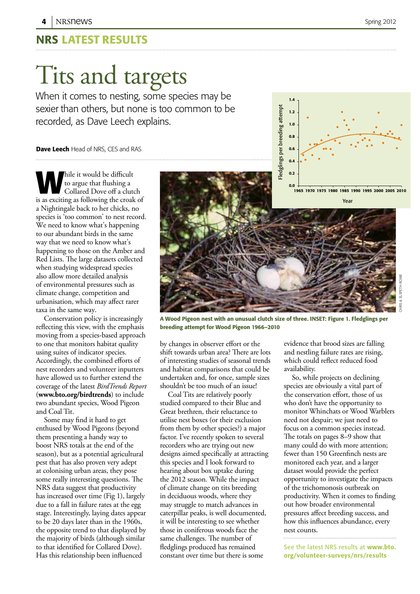### NRS Latest results

## Tits and targets

When it comes to nesting, some species may be sexier than others, but none is too common to be recorded, as Dave Leech explains.

### **Dave Leech** Head of NRS, CES and RAS

**W**hile it would be difficult to argue that flushing a Collared Dove off a clutch is as exciting as following the croak of a Nightingale back to her chicks, no species is 'too common' to nest record. We need to know what's happening to our abundant birds in the same way that we need to know what's happening to those on the Amber and Red Lists. The large datasets collected when studying widespread species also allow more detailed analysis of environmental pressures such as climate change, competition and urbanisation, which may affect rarer taxa in the same way.

Conservation policy is increasingly reflecting this view, with the emphasis moving from a species-based approach to one that monitors habitat quality using suites of indicator species. Accordingly, the combined efforts of nest recorders and volunteer inputters have allowed us to further extend the coverage of the latest *BirdTrends Report* (**www.bto.org/birdtrends**) to include two abundant species, Wood Pigeon and Coal Tit.

Some may find it hard to get enthused by Wood Pigeons (beyond them presenting a handy way to boost NRS totals at the end of the season), but as a potential agricultural pest that has also proven very adept at colonising urban areas, they pose some really interesting questions. The NRS data suggest that productivity has increased over time (Fig 1), largely due to a fall in failure rates at the egg stage. Interestingly, laying dates appear to be 20 days later than in the 1960s, the opposite trend to that displayed by the majority of birds (although similar to that identified for Collared Dove). Has this relationship been influenced



0.6 0.8 1.0 1.2 1.4

A Wood Pigeon nest with an unusual clutch size of three. INSET: Figure 1. Fledglings per breeding attempt for Wood Pigeon 1966–2010

by changes in observer effort or the shift towards urban area? There are lots of interesting studies of seasonal trends and habitat comparisons that could be undertaken and, for once, sample sizes shouldn't be too much of an issue!

Coal Tits are relatively poorly studied compared to their Blue and Great brethren, their reluctance to utilise nest boxes (or their exclusion from them by other species?) a major factor. I've recently spoken to several recorders who are trying out new designs aimed specifically at attracting this species and I look forward to hearing about box uptake during the 2012 season. While the impact of climate change on tits breeding in deciduous woods, where they may struggle to match advances in caterpillar peaks, is well documented, it will be interesting to see whether those in coniferous woods face the same challenges. The number of fledglings produced has remained constant over time but there is some

evidence that brood sizes are falling and nestling failure rates are rising, which could reflect reduced food availability.

So, while projects on declining species are obviously a vital part of the conservation effort, those of us who don't have the opportunity to monitor Whinchats or Wood Warblers need not despair; we just need to focus on a common species instead. The totals on pages 8–9 show that many could do with more attention; fewer than 150 Greenfinch nests are monitored each year, and a larger dataset would provide the perfect opportunity to investigate the impacts of the trichomonosis outbreak on productivity. When it comes to finding out how broader environmental pressures affect breeding success, and how this influences abundance, every nest counts.

See the latest NRS results at www.bto. org/volunteer-surveys/nrs/results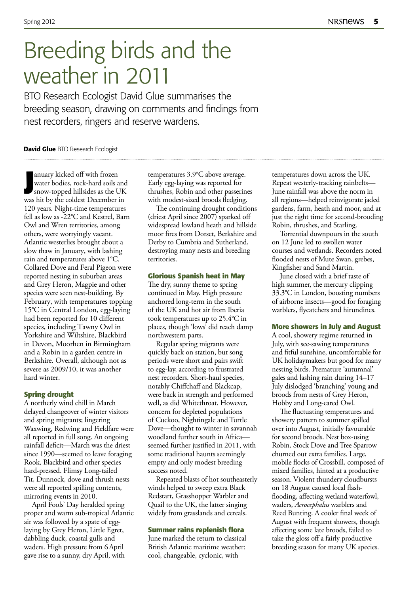## Breeding birds and the weather in 2011

BTO Research Ecologist David Glue summarises the breeding season, drawing on comments and findings from nest recorders, ringers and reserve wardens.

#### David Glue BTO Research Ecologist

**Journal System State of State State State State State State State UK<br>
was hit by the coldest December in** anuary kicked off with frozen water bodies, rock-hard soils and snow-topped hillsides as the UK 120 years. Night-time temperatures fell as low as -22°C and Kestrel, Barn Owl and Wren territories, among others, were worryingly vacant. Atlantic westerlies brought about a slow thaw in January, with lashing rain and temperatures above 1°C. Collared Dove and Feral Pigeon were reported nesting in suburban areas and Grey Heron, Magpie and other species were seen nest-building. By February, with temperatures topping 15°C in Central London, egg-laying had been reported for 10 different species, including Tawny Owl in Yorkshire and Wiltshire, Blackbird in Devon, Moorhen in Birmingham and a Robin in a garden centre in Berkshire. Overall, although not as severe as 2009/10, it was another hard winter.

### **Spring drought**

A northerly wind chill in March delayed changeover of winter visitors and spring migrants; lingering Waxwing, Redwing and Fieldfare were all reported in full song. An ongoing rainfall deficit—March was the driest since 1990—seemed to leave foraging Rook, Blackbird and other species hard-pressed. Flimsy Long-tailed Tit, Dunnock, dove and thrush nests were all reported spilling contents, mirroring events in 2010.

April Fools' Day heralded spring proper and warm sub-tropical Atlantic air was followed by a spate of egglaying by Grey Heron, Little Egret, dabbling duck, coastal gulls and waders. High pressure from 6April gave rise to a sunny, dry April, with

temperatures 3.9°C above average. Early egg-laying was reported for thrushes, Robin and other passerines with modest-sized broods fledging.

The continuing drought conditions (driest April since 2007) sparked off widespread lowland heath and hillside moor fires from Dorset, Berkshire and Derby to Cumbria and Sutherland, destroying many nests and breeding territories.

#### **Glorious Spanish heat in May**

The dry, sunny theme to spring continued in May. High pressure anchored long-term in the south of the UK and hot air from Iberia took temperatures up to 25.4°C in places, though 'lows' did reach damp northwestern parts.

Regular spring migrants were quickly back on station, but song periods were short and pairs swift to egg-lay, according to frustrated nest recorders. Short-haul species, notably Chiffchaff and Blackcap, were back in strength and performed well, as did Whitethroat. However, concern for depleted populations of Cuckoo, Nightingale and Turtle Dove—thought to winter in savannah woodland further south in Africa seemed further justified in 2011, with some traditional haunts seemingly empty and only modest breeding success noted.

Repeated blasts of hot southeasterly winds helped to sweep extra Black Redstart, Grasshopper Warbler and Quail to the UK, the latter singing widely from grasslands and cereals.

#### **Summer rains replenish flora**

June marked the return to classical British Atlantic maritime weather: cool, changeable, cyclonic, with

temperatures down across the UK. Repeat westerly-tracking rainbelts— June rainfall was above the norm in all regions—helped reinvigorate jaded gardens, farm, heath and moor, and at just the right time for second-brooding Robin, thrushes, and Starling.

Torrential downpours in the south on 12 June led to swollen water courses and wetlands. Recorders noted flooded nests of Mute Swan, grebes, Kingfisher and Sand Martin.

June closed with a brief taste of high summer, the mercury clipping 33.3°C in London, boosting numbers of airborne insects—good for foraging warblers, flycatchers and hirundines.

#### **More showers in July and August**

A cool, showery regime returned in July, with see-sawing temperatures and fitful sunshine, uncomfortable for UK holidaymakers but good for many nesting birds. Premature 'autumnal' gales and lashing rain during 14–17 July dislodged 'branching' young and broods from nests of Grey Heron, Hobby and Long-eared Owl.

The fluctuating temperatures and showery pattern to summer spilled over into August, initially favourable for second broods. Nest box-using Robin, Stock Dove and Tree Sparrow churned out extra families. Large, mobile flocks of Crossbill, composed of mixed families, hinted at a productive season. Violent thundery cloudbursts on 18 August caused local flashflooding, affecting wetland waterfowl, waders, *Acrocephalus* warblers and Reed Bunting. A cooler final week of August with frequent showers, though affecting some late broods, failed to take the gloss off a fairly productive breeding season for many UK species.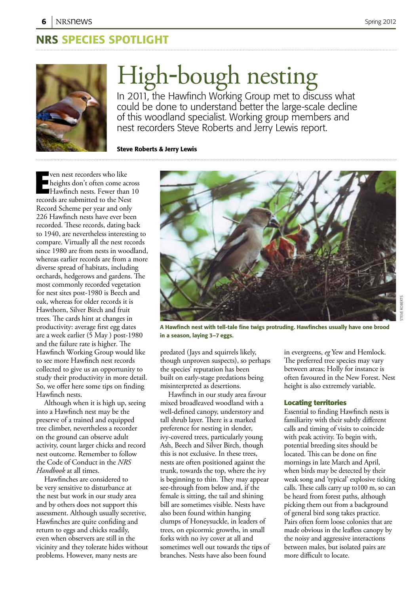### NRS SPECIES Spotlight



## High-bough nesting

In 2011, the Hawfinch Working Group met to discuss what could be done to understand better the large-scale decline of this woodland specialist. Working group members and nest recorders Steve Roberts and Jerry Lewis report.

Steve Roberts & Jerry Lewis

**Example 1** ven nest recorders who like<br>
heights don't often come across<br> **EXECUTE:**<br>
Frecords are submitted to the Nest ven nest recorders who like heights don't often come across Hawfinch nests. Fewer than 10 Record Scheme per year and only 226 Hawfinch nests have ever been recorded. These records, dating back to 1940, are nevertheless interesting to compare. Virtually all the nest records since 1980 are from nests in woodland, whereas earlier records are from a more diverse spread of habitats, including orchards, hedgerows and gardens. The most commonly recorded vegetation for nest sites post-1980 is Beech and oak, whereas for older records it is Hawthorn, Silver Birch and fruit trees. The cards hint at changes in productivity: average first egg dates are a week earlier (5 May ) post-1980 and the failure rate is higher. The Hawfinch Working Group would like to see more Hawfinch nest records collected to give us an opportunity to study their productivity in more detail. So, we offer here some tips on finding Hawfinch nests.

Although when it is high up, seeing into a Hawfinch nest may be the preserve of a trained and equipped tree climber, nevertheless a recorder on the ground can observe adult activity, count larger chicks and record nest outcome. Remember to follow the Code of Conduct in the *NRS Handbook* at all times.

Hawfinches are considered to be very sensitive to disturbance at the nest but work in our study area and by others does not support this assessment. Although usually secretive, Hawfinches are quite confiding and return to eggs and chicks readily, even when observers are still in the vicinity and they tolerate hides without problems. However, many nests are



A Hawfinch nest with tell-tale fine twigs protruding. Hawfinches usually have one brood in a season, laying 3–7 eggs.

predated (Jays and squirrels likely, though unproven suspects), so perhaps the species' reputation has been built on early-stage predations being misinterpreted as desertions.

Hawfinch in our study area favour mixed broadleaved woodland with a well-defined canopy, understory and tall shrub layer. There is a marked preference for nesting in slender, ivy-covered trees, particularly young Ash, Beech and Silver Birch, though this is not exclusive. In these trees, nests are often positioned against the trunk, towards the top, where the ivy is beginning to thin. They may appear see-through from below and, if the female is sitting, the tail and shining bill are sometimes visible. Nests have also been found within hanging clumps of Honeysuckle, in leaders of trees, on epicormic growths, in small forks with no ivy cover at all and sometimes well out towards the tips of branches. Nests have also been found

in evergreens, *eg* Yew and Hemlock. The preferred tree species may vary between areas; Holly for instance is often favoured in the New Forest. Nest height is also extremely variable.

### **Locating territories**

Essential to finding Hawfinch nests is familiarity with their subtly different calls and timing of visits to coincide with peak activity. To begin with, potential breeding sites should be located. This can be done on fine mornings in late March and April, when birds may be detected by their weak song and 'typical' explosive ticking calls. These calls carry up to100 m, so can be heard from forest paths, although picking them out from a background of general bird song takes practice. Pairs often form loose colonies that are made obvious in the leafless canopy by the noisy and aggressive interactions between males, but isolated pairs are more difficult to locate.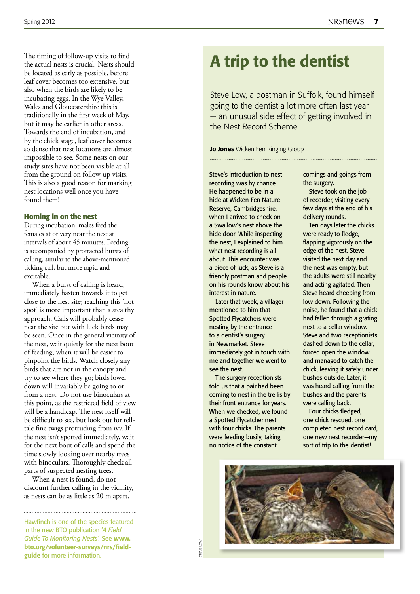The timing of follow-up visits to find the actual nests is crucial. Nests should be located as early as possible, before leaf cover becomes too extensive, but also when the birds are likely to be incubating eggs. In the Wye Valley, Wales and Gloucestershire this is traditionally in the first week of May, but it may be earlier in other areas. Towards the end of incubation, and by the chick stage, leaf cover becomes so dense that nest locations are almost impossible to see. Some nests on our study sites have not been visible at all from the ground on follow-up visits. This is also a good reason for marking nest locations well once you have found them!

#### **Homing in on the nest**

During incubation, males feed the females at or very near the nest at intervals of about 45 minutes. Feeding is accompanied by protracted bursts of calling, similar to the above-mentioned ticking call, but more rapid and excitable.

When a burst of calling is heard, immediately hasten towards it to get close to the nest site; reaching this 'hot spot' is more important than a stealthy approach. Calls will probably cease near the site but with luck birds may be seen. Once in the general vicinity of the nest, wait quietly for the next bout of feeding, when it will be easier to pinpoint the birds. Watch closely any birds that are not in the canopy and try to see where they go; birds lower down will invariably be going to or from a nest. Do not use binoculars at this point, as the restricted field of view will be a handicap. The nest itself will be difficult to see, but look out for telltale fine twigs protruding from ivy. If the nest isn't spotted immediately, wait for the next bout of calls and spend the time slowly looking over nearby trees with binoculars. Thoroughly check all parts of suspected nesting trees.

When a nest is found, do not discount further calling in the vicinity, as nests can be as little as 20 m apart.

Hawfinch is one of the species featured in the new BTO publication '*A Field Guide To Monitoring Nests'.* See www. bto.org/volunteer-surveys/nrs/fieldguide for more information.

STEVE LOW STEVE LOW

Steve Low, a postman in Suffolk, found himself going to the dentist a lot more often last year — an unusual side effect of getting involved in the Nest Record Scheme

Jo Jones Wicken Fen Ringing Group

Steve's introduction to nest recording was by chance. He happened to be in a hide at Wicken Fen Nature Reserve, Cambridgeshire, when I arrived to check on a Swallow's nest above the hide door. While inspecting the nest, I explained to him what nest recording is all about. This encounter was a piece of luck, as Steve is a friendly postman and people on his rounds know about his interest in nature.

Later that week, a villager mentioned to him that Spotted Flycatchers were nesting by the entrance to a dentist's surgery in Newmarket. Steve immediately got in touch with me and together we went to see the nest.

The surgery receptionists told us that a pair had been coming to nest in the trellis by their front entrance for years. When we checked, we found a Spotted Flycatcher nest with four chicks. The parents were feeding busily, taking no notice of the constant

comings and goings from the surgery.

Steve took on the job of recorder, visiting every few days at the end of his delivery rounds.

Ten days later the chicks were ready to fledge, flapping vigorously on the edge of the nest. Steve visited the next day and the nest was empty, but the adults were still nearby and acting agitated. Then Steve heard cheeping from low down. Following the noise, he found that a chick had fallen through a grating next to a cellar window. Steve and two receptionists dashed down to the cellar, forced open the window and managed to catch the chick, leaving it safely under bushes outside. Later, it was heard calling from the bushes and the parents were calling back.

Four chicks fledged, one chick rescued, one completed nest record card, one new nest recorder—my sort of trip to the dentist!

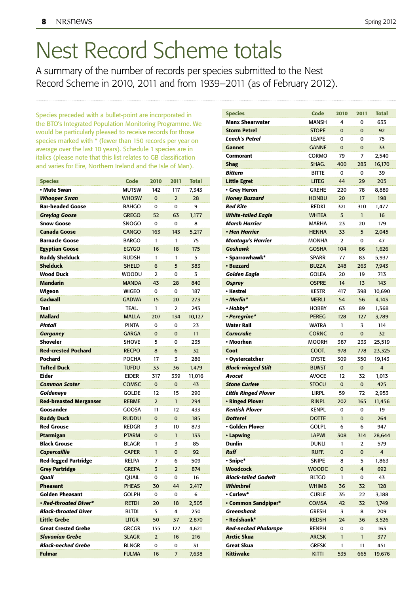## Nest Record Scheme totals

A summary of the number of records per species submitted to the Nest Record Scheme in 2010, 2011 and from 1939–2011 (as of February 2012).

Species preceded with a bullet-point are incorporated in the BTO's Integrated Population Monitoring Programme. We would be particularly pleased to receive records for those species marked with \* (fewer than 150 records per year on average over the last 10 years). Schedule 1 species are in italics (please note that this list relates to GB classification and varies for Eire, Northern Ireland and the Isle of Man).

| <b>Species</b>                | Code          | 2010           | 2011           | <b>Total</b> |
|-------------------------------|---------------|----------------|----------------|--------------|
| • Mute Swan                   | <b>MUTSW</b>  | 142            | 117            | 7.343        |
| <b>Whooper Swan</b>           | <b>WHOSW</b>  | $\mathbf 0$    | $\overline{2}$ | 28           |
| <b>Bar-headed Goose</b>       | <b>BAHGO</b>  | 0              | 0              | 9            |
| <b>Greylag Goose</b>          | <b>GREGO</b>  | 52             | 63             | 1,177        |
| <b>Snow Goose</b>             | <b>SNOGO</b>  | 0              | 0              | 8            |
| <b>Canada Goose</b>           | <b>CANGO</b>  | 163            | 143            | 5,217        |
| <b>Barnacle Goose</b>         | <b>BARGO</b>  | 1              | 1              | 75           |
| <b>Egyptian Goose</b>         | <b>EGYGO</b>  | 16             | 18             | 175          |
| <b>Ruddy Shelduck</b>         | <b>RUDSH</b>  | 1              | 1              | 5            |
| <b>Shelduck</b>               | <b>SHELD</b>  | 6              | 5              | 383          |
| <b>Wood Duck</b>              | <b>WOODU</b>  | $\overline{2}$ | 0              | 3            |
| <b>Mandarin</b>               | <b>MANDA</b>  | 43             | 28             | 840          |
| Wigeon                        | <b>WIGEO</b>  | 0              | 0              | 187          |
| <b>Gadwall</b>                | <b>GADWA</b>  | 15             | 20             | 273          |
| Teal                          | TEAL.         | 1              | $\overline{2}$ | 243          |
| <b>Mallard</b>                | <b>MALLA</b>  | 207            | 134            | 10,127       |
| Pintail                       | <b>PINTA</b>  | 0              | 0              | 23           |
| <b>Garganey</b>               | <b>GARGA</b>  | $\Omega$       | $\overline{0}$ | 11           |
| <b>Shoveler</b>               | <b>SHOVE</b>  | 5              | 0              | 235          |
| <b>Red-crested Pochard</b>    | <b>RECPO</b>  | 8              | 6              | 32           |
| Pochard                       | <b>POCHA</b>  | 17             | 3              | 286          |
| <b>Tufted Duck</b>            | <b>TUFDU</b>  | 33             | 36             | 1,479        |
| <b>Eider</b>                  | <b>EIDER</b>  | 317            | 339            | 11,016       |
| <b>Common Scoter</b>          | <b>COMSC</b>  | $\mathbf 0$    | $\overline{0}$ | 43           |
| Goldeneye                     | <b>GOLDE</b>  | 12             | 15             | 290          |
| <b>Red-breasted Merganser</b> | <b>REBME</b>  | $\overline{2}$ | $\mathbf{1}$   | 294          |
| Goosander                     | GOOSA         | 11             | 12             | 433          |
| <b>Ruddy Duck</b>             | <b>RUDDU</b>  | $\mathbf 0$    | $\overline{0}$ | 185          |
| <b>Red Grouse</b>             | <b>REDGR</b>  | 3              | 10             | 873          |
| Ptarmigan                     | <b>PTARM</b>  | $\overline{0}$ | $\mathbf{1}$   | 133          |
| <b>Black Grouse</b>           | <b>BLAGR</b>  | 1              | 3              | 85           |
| <b>Capercaillie</b>           | <b>CAPER</b>  | $\mathbf{1}$   | $\overline{0}$ | 92           |
| <b>Red-legged Partridge</b>   | <b>RELPA</b>  | 7              | 6              | 509          |
| <b>Grey Partridge</b>         | <b>GREPA</b>  | 3              | $\overline{2}$ | 874          |
| Quail                         | QUAIL         | 0              | 0              | 16           |
| <b>Pheasant</b>               | <b>PHEAS</b>  | 30             | 44             | 2,417        |
| Golden Pheasant               | <b>GOI PH</b> | 0              | 0              | 6            |
| • Red-throated Diver*         | <b>RETDI</b>  | 20             | 18             | 2,505        |
| <b>Black-throated Diver</b>   | <b>BLTDI</b>  | 5              | 4              | 250          |
| <b>Little Grebe</b>           | <b>LITGR</b>  | 50             | 37             | 2,870        |
| <b>Great Crested Grebe</b>    | GRCGR         | 155            | 127            | 4,621        |
| <b>Slavonian Grebe</b>        | <b>SLAGR</b>  | $\overline{2}$ | 16             | 216          |
| <b>Black-necked Grebe</b>     | BLNGR         | 0              | 0              | 31           |
| <b>Fulmar</b>                 | <b>FULMA</b>  | 16             | 7              | 7,638        |

| <b>Species</b>              | Code         | 2010        | 2011        | <b>Total</b>   |
|-----------------------------|--------------|-------------|-------------|----------------|
| <b>Manx Shearwater</b>      | MANSH        | 4           | 0           | 633            |
| <b>Storm Petrel</b>         | <b>STOPE</b> | $\mathbf 0$ | 0           | 92             |
| Leach's Petrel              | <b>LEAPE</b> | 0           | 0           | 75             |
| <b>Gannet</b>               | <b>GANNE</b> | $\Omega$    | 0           | 33             |
| Cormorant                   | CORMO        | 79          | 7           | 2,540          |
| Shag                        | SHAG.        | 400         | 283         | 16,170         |
| <b>Bittern</b>              | <b>BITTE</b> | 0           | 0           | 39             |
| <b>Little Egret</b>         | <b>LITEG</b> | 44          | 29          | 205            |
| • Grey Heron                | <b>GREHE</b> | 220         | 78          | 8,889          |
| <b>Honey Buzzard</b>        | <b>HONBU</b> | 20          | 17          | 198            |
| <b>Red Kite</b>             | <b>REDKI</b> | 321         | 310         | 1,477          |
| <b>White-tailed Eagle</b>   | <b>WHTEA</b> | 5           | 1           | 16             |
| Marsh Harrier               | <b>MARHA</b> | 23          | 20          | 179            |
| • Hen Harrier               | <b>HENHA</b> | 33          | 5           | 2,045          |
| <b>Montagu's Harrier</b>    | MONHA        | 2           | 0           | 47             |
| <b>Goshawk</b>              | <b>GOSHA</b> | 104         | 86          | 1,626          |
| • Sparrowhawk*              | <b>SPARR</b> | 77          | 83          | 5,937          |
| • Buzzard                   | <b>BUZZA</b> | 248         | 263         | 7,943          |
| <b>Golden Eagle</b>         | <b>GOLEA</b> | 20          | 19          | 713            |
| <b>Osprey</b>               | <b>OSPRE</b> | 14          | 13          | 143            |
| • Kestrel                   | <b>KESTR</b> | 417         | 398         | 10,690         |
| • Merlin*                   | <b>MERLI</b> | 54          | 56          | 4,143          |
| • Hobby*                    | <b>HOBBY</b> | 63          | 89          | 1.368          |
| • Peregrine*                | <b>PEREG</b> | 128         | 127         | 3,789          |
| <b>Water Rail</b>           | <b>WATRA</b> | 1           | 3           | 114            |
| Corncrake                   | <b>CORNC</b> | 0           | 0           | 32             |
| • Moorhen                   | <b>MOORH</b> | 387         | 233         | 25,519         |
| Coot                        | COOT.        | 978         | 778         | 23,325         |
| • Oystercatcher             | <b>OYSTE</b> | 309         | 350         | 19,143         |
| <b>Black-winged Stilt</b>   | <b>BLWST</b> | $\mathbf 0$ | $\mathbf 0$ | 4              |
| Avocet                      | <b>AVOCE</b> | 12          | 32          | 1,013          |
| <b>Stone Curlew</b>         | <b>STOCU</b> | $\mathbf 0$ | $\mathbf 0$ | 425            |
| <b>Little Ringed Plover</b> | <b>LIRPL</b> | 59          | 72          | 2,953          |
| • Ringed Plover             | <b>RINPL</b> | 202         | 165         | 11,456         |
| <b>Kentish Plover</b>       | <b>KENPL</b> | 0           | 0           | 19             |
| <b>Dotterel</b>             | <b>DOTTE</b> | 1           | $\mathbf 0$ | 264            |
| · Golden Plover             | <b>GOLPL</b> | 6           | 6           | 947            |
| • Lapwing                   | <b>LAPWI</b> | 308         | 314         | 28,644         |
| <b>Dunlin</b>               | dunli        | 1           | 2           | 579            |
| <b>Ruff</b>                 | RUFF.        | 0           | 0           | $\overline{4}$ |
| · Snipe*                    | <b>SNIPE</b> | 8           | 5           | 1,863          |
| <b>Woodcock</b>             | <b>WOODC</b> | 0           | 4           | 692            |
| <b>Black-tailed Godwit</b>  | <b>BLTGO</b> | 1           | 0           | 43             |
| <b>Whimbrel</b>             | <b>WHIMB</b> | 36          | 32          | 128            |
| • Curlew*                   | <b>CURLE</b> | 35          | 22          | 3,188          |
| • Common Sandpiper*         | <b>COMSA</b> | 42          | 32          | 1,749          |
| <b>Greenshank</b>           | <b>GRESH</b> | 3           | 8           | 209            |
| • Redshank*                 | <b>REDSH</b> | 24          | 36          | 3,526          |
| <b>Red-necked Phalarope</b> | RENPH        | 0           | 0           | 163            |
| <b>Arctic Skua</b>          | <b>ARCSK</b> | 1           | 1           | 377            |
| <b>Great Skua</b>           | <b>GRESK</b> | 1           | 11          | 451            |
| <b>Kittiwake</b>            | <b>KITTI</b> | 535         | 665         | 19,676         |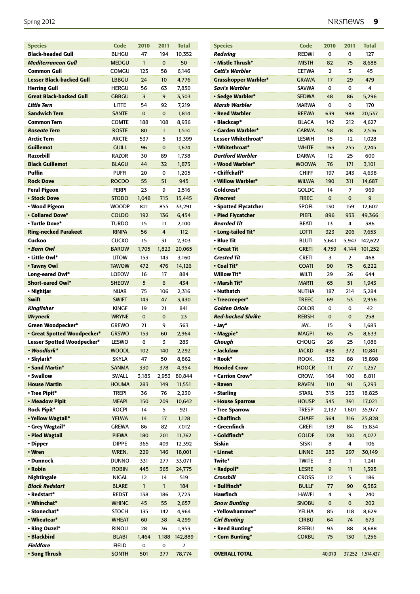| <b>Species</b>                  | Code         | 2010         | 2011           | <b>Total</b> |
|---------------------------------|--------------|--------------|----------------|--------------|
| <b>Black-headed Gull</b>        | <b>BLHGU</b> | 47           | 194            | 10,352       |
| <b>Mediterranean Gull</b>       | <b>MEDGU</b> | $\mathbf{1}$ | $\mathbf 0$    | 50           |
| <b>Common Gull</b>              | COMGU        | 123          | 58             | 6,146        |
| <b>Lesser Black-backed Gull</b> | <b>LBBGU</b> | 24           | 10             | 4,776        |
| <b>Herring Gull</b>             | <b>HERGU</b> | 56           | 63             | 7,850        |
| <b>Great Black-backed Gull</b>  | <b>GBBGU</b> | 3            | 9              | 3,503        |
| <b>Little Tern</b>              | <b>LITTE</b> | 54           | 92             | 7,219        |
| <b>Sandwich Tern</b>            | <b>SANTE</b> | $\mathbf 0$  | $\mathbf{0}$   | 1,814        |
| <b>Common Tern</b>              | <b>COMTE</b> | 188          | 108            | 8,936        |
| <b>Roseate Tern</b>             | <b>ROSTE</b> | 80           | $\mathbf{1}$   | 1,514        |
| <b>Arctic Tern</b>              | ARCTE        | 537          | 5              | 13,399       |
| <b>Guillemot</b>                | <b>GUILL</b> | 96           | $\mathbf 0$    | 1,674        |
| <b>Razorbill</b>                | <b>RAZOR</b> | 30           | 89             | 1,738        |
| <b>Black Guillemot</b>          | <b>BLAGU</b> | 44           | 32             | 1,873        |
| Puffin                          |              |              |                |              |
|                                 | <b>PUFFI</b> | 20           | 0              | 1,205        |
| <b>Rock Dove</b>                | <b>ROCDO</b> | 55           | 51             | 945          |
| <b>Feral Pigeon</b>             | <b>FERPI</b> | 23           | 9              | 2,516        |
| <b>• Stock Dove</b>             | <b>STODO</b> | 1,048        | 715            | 15,445       |
| • Wood Pigeon                   | <b>WOODP</b> | 821          | 855            | 33,291       |
| <b>• Collared Dove*</b>         | <b>COLDO</b> | 192          | 136            | 6,454        |
| • Turtle Dove*                  | <b>TURDO</b> | 15           | 11             | 2,100        |
| <b>Ring-necked Parakeet</b>     | <b>RINPA</b> | 56           | $\overline{4}$ | 112          |
| Cuckoo                          | <b>CUCKO</b> | 15           | 31             | 2,303        |
| • Barn Owl                      | <b>BAROW</b> | 1,705        | 1,823          | 20,065       |
| • Little Owl*                   | <b>LITOW</b> | 153          | 143            | 3,160        |
| • Tawny Owl                     | <b>TAWOW</b> | 472          | 476            | 14,126       |
| Long-eared Owl*                 | <b>LOEOW</b> | 16           | 17             | 884          |
| <b>Short-eared Owl*</b>         | <b>SHEOW</b> | 5            | 6              | 434          |
| • Nightjar                      | <b>NIJAR</b> | 75           | 106            | 2,316        |
| <b>Swift</b>                    | <b>SWIFT</b> | 143          | 47             | 3,430        |
| <b>Kingfisher</b>               | <b>KINGF</b> | 19           | 21             | 841          |
| <b>Wryneck</b>                  | <b>WRYNE</b> | $\mathbf 0$  | $\mathbf 0$    | 23           |
| Green Woodpecker*               | <b>GREWO</b> | 21           | 9              | 563          |
| • Great Spotted Woodpecker*     | <b>GRSWO</b> | 153          | 60             | 2,964        |
| Lesser Spotted Woodpecker*      | LESWO        | 6            | 3              | 283          |
| • Woodlark*                     | <b>WOODL</b> | 102          | 140            | 2,292        |
| · Skylark*                      | SKYLA        | 47           | 50             | 8,862        |
| • Sand Martin*                  | <b>SANMA</b> | 330          | 378            | 4,954        |
| • Swallow                       | <b>SWALL</b> | 3,183        | 2,953          | 80,844       |
| <b>House Martin</b>             | <b>HOUMA</b> | 283          | 149            |              |
|                                 |              |              |                | 11,551       |
| • Tree Pipit*                   | <b>TREPI</b> | 36           | 76             | 2,230        |
| • Meadow Pipit                  | <b>MEAPI</b> | 150          | 209            | 10,642       |
| <b>Rock Pipit*</b>              | <b>ROCPI</b> | 14           | 5              | 921          |
| • Yellow Wagtail*               | <b>YELWA</b> | 14           | 17             | 1,128        |
| • Grey Wagtail*                 | <b>GREWA</b> | 86           | 82             | 7,012        |
| • Pied Wagtail                  | <b>PIEWA</b> | 180          | 201            | 11,762       |
| • Dipper                        | <b>DIPPE</b> | 365          | 409            | 12,392       |
| • Wren                          | WREN.        | 229          | 146            | 18,001       |
| • Dunnock                       | <b>DUNNO</b> | 331          | 277            | 33,071       |
| • Robin                         | <b>ROBIN</b> | 445          | 365            | 24,775       |
| Nightingale                     | NIGAL        | 12           | 14             | 519          |
| <b>Black Redstart</b>           | <b>BLARE</b> | $\mathbf{1}$ | $\mathbf{1}$   | 184          |
| • Redstart*                     | <b>REDST</b> | 138          | 186            | 7,723        |
| • Whinchat*                     | <b>WHINC</b> | 45           | 55             | 2,657        |
| • Stonechat*                    | <b>STOCH</b> | 135          | 142            | 4,964        |
| • Wheatear*                     | <b>WHEAT</b> | 60           | 38             | 4,299        |
| • Ring Ouzel*                   | rinou        | 28           | 36             | 1,953        |
| • Blackbird                     | <b>BLABI</b> | 1,464        | 1,188          | 142,889      |
| <b>Fieldfare</b>                | <b>FIELD</b> | 0            | 0              | 7            |
| • Song Thrush                   | <b>SONTH</b> | 501          | 377            | 78,774       |
|                                 |              |              |                |              |

| <b>Species</b>              | Code         | 2010        | 2011           | <b>Total</b> |
|-----------------------------|--------------|-------------|----------------|--------------|
| Redwing                     | <b>REDWI</b> | 0           | 0              | 127          |
| · Mistle Thrush*            | MISTH        | 82          | 75             | 8,688        |
| <b>Cetti's Warbler</b>      | <b>CETWA</b> | 2           | 3              | 45           |
| <b>Grasshopper Warbler*</b> | <b>GRAWA</b> | 17          | 29             | 479          |
| Savi's Warbler              | <b>SAVWA</b> | 0           | 0              | 4            |
| · Sedge Warbler*            | <b>SEDWA</b> | 48          | 86             | 5,296        |
| <b>Marsh Warbler</b>        | <b>MARWA</b> | 0           | 0              | 170          |
| · Reed Warbler              | <b>REEWA</b> | 639         | 988            | 20,537       |
| • Blackcap*                 | <b>BLACA</b> | 142         | 212            | 4,627        |
| · Garden Warbler*           | <b>GARWA</b> | 58          | 78             | 2,516        |
| Lesser Whitethroat*         | <b>LESWH</b> | 15          | 12             | 1,028        |
| • Whitethroat*              | <b>WHITE</b> | 163         | 255            | 7,245        |
| <b>Dartford Warbler</b>     | <b>DARWA</b> | 12          | 25             | 600          |
| • Wood Warbler*             | <b>WOOWA</b> | 76          | 171            | 3,101        |
| • Chiffchaff*               | <b>CHIFF</b> | 197         | 243            | 4,638        |
| • Willow Warbler*           | <b>WILWA</b> | 190         | 311            | 14,687       |
| Goldcrest*                  | GOLDC        | 14          | 7              | 969          |
| <b>Firecrest</b>            | <b>FIREC</b> | $\mathbf 0$ | 0              | 9            |
| · Spotted Flycatcher        | <b>SPOFL</b> | 130         | 159            | 12,602       |
| • Pied Flycatcher           | <b>PIEFL</b> | 896         | 933            | 49,366       |
| <b>Bearded Tit</b>          | <b>BEATI</b> | 13          | 4              | 386          |
| • Long-tailed Tit*          | <b>LOTTI</b> | 323         | 206            | 7,653        |
| • Blue Tit                  | BLUTI        | 5,641       | 5,947          | 142,622      |
| • Great Tit                 | <b>GRETI</b> | 4,759       | 4,144          | 101,252      |
| <b>Crested Tit</b>          | <b>CRETI</b> | 3           | $\overline{2}$ | 468          |
| • Coal Tit*                 | <b>COATI</b> | 90          | 75             | 6,222        |
| <b>Willow Tit*</b>          | <b>WILTI</b> | 29          | 26             | 644          |
| • Marsh Tit*                | <b>MARTI</b> | 65          | 51             | 1,943        |
| • Nuthatch                  | NUTHA        | 187         | 214            | 5,284        |
| • Treecreeper*              | <b>TREEC</b> | 69          | 53             | 2,956        |
| <b>Golden Oriole</b>        | Golor        | 0           | 0              | 42           |
| <b>Red-backed Shrike</b>    | <b>REBSH</b> | $\mathbf 0$ | $\mathbf 0$    | 258          |
| $\cdot$ Jay*                | JAY          | 15          | 9              | 1,683        |
| · Magpie*                   | <b>MAGPI</b> | 65          | 75             | 8,633        |
| Chough                      | CHOUG        | 26          | 25             | 1,086        |
| • Jackdaw                   | <b>JACKD</b> | 498         | 372            | 10,841       |
| • Rook*                     | ROOK.        | 132         | 88             | 15,898       |
| <b>Hooded Crow</b>          | <b>HOOCR</b> | 11          | 77             | 1,257        |
| • Carrion Crow*             | CROW.        | 164         | 100            | 8,811        |
| • Raven                     | <b>RAVEN</b> | 110         | 91             | 5,293        |
| • Starling                  | <b>STARL</b> | 315         | 233            | 18,825       |
| • House Sparrow             | <b>HOUSP</b> | 345         | 391            | 17,021       |
| · Tree Sparrow              | <b>TRESP</b> | 2,137       | 1,601          | 35,977       |
| • Chaffinch                 | CHAFF        | 364         | 316            | 25,828       |
| • Greenfinch                | Grefi        | 139         | 84             | 15,834       |
| · Goldfinch*                | <b>GOLDF</b> | 128         | 100            | 4,077        |
| Siskin                      | <b>SISKI</b> | 8           | 4              | 106          |
| • Linnet                    | <b>LINNE</b> | 283         | 297            | 30,149       |
| Twite*                      | <b>TWITE</b> | 3           | 1              | 1,241        |
| • Redpoll*                  | <b>LESRE</b> | 9           | 11             | 1,395        |
| Crossbill                   | <b>CROSS</b> | 12          | 5              | 186          |
| • Bullfinch*                | <b>BULLF</b> | 77          | 90             | 6,382        |
| Hawfinch                    | <b>HAWFI</b> | 4           | 9              | 240          |
| <b>Snow Bunting</b>         | <b>SNOBU</b> | 0           | 0              | 202          |
| · Yellowhammer*             | <b>YELHA</b> | 85          | 118            | 8,629        |
| <b>Cirl Bunting</b>         | <b>CIRBU</b> | 64          | 74             | 673          |
| · Reed Bunting*             | REEBU        | 93          | 88             | 8,688        |
| • Corn Bunting*             | <b>CORBU</b> | 75          | 130            | 1,256        |
|                             |              |             |                |              |
| <b>OVERALL TOTAL</b>        |              | 40,070      | 37,252         | 1,574,437    |
|                             |              |             |                |              |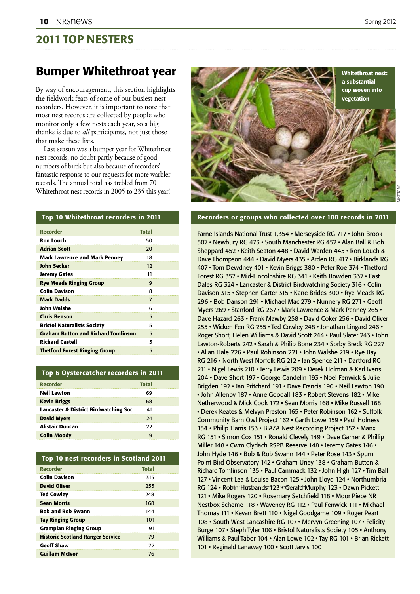### 2011 Top nesters

### Bumper Whitethroat year

By way of encouragement, this section highlights the fieldwork feats of some of our busiest nest recorders. However, it is important to note that most nest records are collected by people who monitor only a few nests each year, so a big thanks is due to *all* participants, not just those that make these lists.

Last season was a bumper year for Whitethroat nest records, no doubt partly because of good numbers of birds but also because of recorders' fantastic response to our requests for more warbler records. The annual total has trebled from 70 Whitethroat nest records in 2005 to 235 this year!

# Whitethroat nest: a substantial cup woven into vegetation

### Top 10 Whitethroat recorders in 2011

| <b>Recorder</b>                            | <b>Total</b>   |  |
|--------------------------------------------|----------------|--|
| Ron Louch                                  | 50             |  |
| <b>Adrian Scott</b>                        | 20             |  |
| <b>Mark Lawrence and Mark Penney</b>       | 18             |  |
| John Secker                                | 12             |  |
| <b>Jeremy Gates</b>                        | 11             |  |
| <b>Rye Meads Ringing Group</b>             | 9              |  |
| <b>Colin Davison</b>                       | 8              |  |
| <b>Mark Dadds</b>                          | $\overline{7}$ |  |
| John Walshe                                | 6              |  |
| <b>Chris Benson</b>                        | 5              |  |
| <b>Bristol Naturalists Society</b>         | 5              |  |
| <b>Graham Button and Richard Tomlinson</b> | 5              |  |
| <b>Richard Castell</b>                     | 5              |  |
| <b>Thetford Forest Ringing Group</b>       | 5              |  |
|                                            |                |  |

### Top 6 Oystercatcher recorders in 2011

| <b>Total</b> |
|--------------|
| 69           |
| 68           |
| 41           |
| 24           |
| つつ           |
| 19           |
|              |

| Top 10 nest recorders in Scotland 2011  |              |  |  |
|-----------------------------------------|--------------|--|--|
| <b>Recorder</b>                         | <b>Total</b> |  |  |
| <b>Colin Davison</b>                    | 315          |  |  |
| <b>David Oliver</b>                     | 255          |  |  |
| <b>Ted Cowley</b>                       | 248          |  |  |
| <b>Sean Morris</b>                      | 168          |  |  |
| <b>Bob and Rob Swann</b>                | 144          |  |  |
| <b>Tay Ringing Group</b>                | 101          |  |  |
| <b>Grampian Ringing Group</b>           | 91           |  |  |
| <b>Historic Scotland Ranger Service</b> | 79           |  |  |
| <b>Geoff Shaw</b>                       | 77           |  |  |
| <b>Guillam McIvor</b>                   | 76           |  |  |

### Recorders or groups who collected over 100 records in 2011

Farne Islands National Trust 1,354 • Merseyside RG 717 • John Brook 507 • Newbury RG 473 • South Manchester RG 452 • Alan Ball & Bob Sheppard 452 • Keith Seaton 448 • David Warden 445 • Ron Louch & Dave Thompson 444 • David Myers 435 • Arden RG 417 • Birklands RG 407 • Tom Dewdney 401 • Kevin Briggs 380 • Peter Roe 374 • Thetford Forest RG 357 • Mid-Lincolnshire RG 341 • Keith Bowden 337 • East Dales RG 324 • Lancaster & District Birdwatching Society 316 • Colin Davison 315 • Stephen Carter 315 • Kane Brides 300 • Rye Meads RG 296 • Bob Danson 291 • Michael Mac 279 • Nunnery RG 271 • Geoff Myers 269 • Stanford RG 267 • Mark Lawrence & Mark Penney 265 • Dave Hazard 263 • Frank Mawby 258 • David Coker 256 • David Oliver 255 • Wicken Fen RG 255 • Ted Cowley 248 • Jonathan Lingard 246 • Roger Short, Helen Williams & David Scott 244 • Paul Slater 243 • John Lawton-Roberts 242 • Sarah & Philip Bone 234 • Sorby Breck RG 227 • Allan Hale 226 • Paul Robinson 221 • John Walshe 219 • Rye Bay RG 216 • North West Norfolk RG 212 • Ian Spence 211 • Dartford RG 211 • Nigel Lewis 210 • Jerry Lewis 209 • Derek Holman & Karl Ivens 204 • Dave Short 197 • George Candelin 193 • Noel Fenwick & Julie Brigden 192 • Jan Pritchard 191 • Dave Francis 190 • Neil Lawton 190 • John Allenby 187 • Anne Goodall 183 • Robert Stevens 182 • Mike Netherwood & Mick Cook 172 • Sean Morris 168 • Mike Russell 168 • Derek Keates & Melvyn Preston 165 • Peter Robinson 162 • Suffolk Community Barn Owl Project 162 • Garth Lowe 159 • Paul Holness 154 • Philip Harris 153 • BIAZA Nest Recording Project 152 • Manx RG 151 • Simon Cox 151 • Ronald Clevely 149 • Dave Garner & Phillip Miller 148 • Cwm Clydach RSPB Reserve 148 • Jeremy Gates 146 • John Hyde 146 • Bob & Rob Swann 144 • Peter Rose 143 • Spurn Point Bird Observatory 142 • Graham Uney 138 • Graham Button & Richard Tomlinson 135 • Paul Cammack 132 • John High 127 • Tim Ball 127 • Vincent Lea & Louise Bacon 125 • John Lloyd 124 • Northumbria RG 124 • Robin Husbands 123 • Gerald Murphy 123 • Dawn Pickett 121 • Mike Rogers 120 • Rosemary Setchfield 118 • Moor Piece NR Nestbox Scheme 118 • Waveney RG 112 • Paul Fenwick 111 • Michael Thomas 111 • Kevan Brett 110 • Nigel Goodgame 109 • Roger Peart 108 • South West Lancashire RG 107 • Mervyn Greening 107 • Felicity Burge 107 • Steph Tyler 106 • Bristol Naturalists Society 105 • Anthony Williams & Paul Tabor 104 • Alan Lowe 102 • Tay RG 101 • Brian Rickett 101 • Reginald Lanaway 100 • Scott Jarvis 100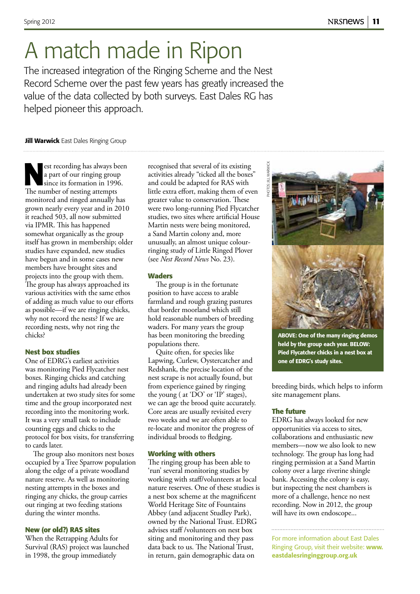## A match made in Ripon

The increased integration of the Ringing Scheme and the Nest Record Scheme over the past few years has greatly increased the value of the data collected by both surveys. East Dales RG has helped pioneer this approach.

**Jill Warwick** East Dales Ringing Group

est recording has always been<br>
a part of our ringing group<br>
since its formation in 1996.<br>
The number of perting attempts a part of our ringing group The number of nesting attempts monitored and ringed annually has grown nearly every year and in 2010 it reached 503, all now submitted via IPMR. This has happened somewhat organically as the group itself has grown in membership; older studies have expanded, new studies have begun and in some cases new members have brought sites and projects into the group with them. The group has always approached its various activities with the same ethos of adding as much value to our efforts as possible—if we are ringing chicks, why not record the nests? If we are recording nests, why not ring the chicks?

### **Nest box studies**

One of EDRG's earliest activities was monitoring Pied Flycatcher nest boxes. Ringing chicks and catching and ringing adults had already been undertaken at two study sites for some time and the group incorporated nest recording into the monitoring work. It was a very small task to include counting eggs and chicks to the protocol for box visits, for transferring to cards later.

The group also monitors nest boxes occupied by a Tree Sparrow population along the edge of a private woodland nature reserve. As well as monitoring nesting attempts in the boxes and ringing any chicks, the group carries out ringing at two feeding stations during the winter months.

### **New (or old?) RAS sites**

When the Retrapping Adults for Survival (RAS) project was launched in 1998, the group immediately

recognised that several of its existing activities already "ticked all the boxes" and could be adapted for RAS with little extra effort, making them of even greater value to conservation. These were two long-running Pied Flycatcher studies, two sites where artificial House Martin nests were being monitored, a Sand Martin colony and, more unusually, an almost unique colourringing study of Little Ringed Plover (see *Nest Record News* No. 23).

### **Waders**

The group is in the fortunate position to have access to arable farmland and rough grazing pastures that border moorland which still hold reasonable numbers of breeding waders. For many years the group has been monitoring the breeding populations there.

Quite often, for species like Lapwing, Curlew, Oystercatcher and Redshank, the precise location of the nest scrape is not actually found, but from experience gained by ringing the young ( at 'DO' or 'IP' stages), we can age the brood quite accurately. Core areas are usually revisited every two weeks and we are often able to re-locate and monitor the progress of individual broods to fledging.

### **Working with others**

The ringing group has been able to 'run' several monitoring studies by working with staff/volunteers at local nature reserves. One of these studies is a nest box scheme at the magnificent World Heritage Site of Fountains Abbey (and adjacent Studley Park), owned by the National Trust. EDRG advises staff /volunteers on nest box siting and monitoring and they pass data back to us. The National Trust, in return, gain demographic data on



ABOVE: One of the many ringing demos held by the group each year. BELOW: Pied Flycatcher chicks in a nest box at one of EDRG's study sites.

breeding birds, which helps to inform site management plans.

### **The future**

EDRG has always looked for new opportunities via access to sites, collaborations and enthusiastic new members—now we also look to new technology. The group has long had ringing permission at a Sand Martin colony over a large riverine shingle bank. Accessing the colony is easy, but inspecting the nest chambers is more of a challenge, hence no nest recording. Now in 2012, the group will have its own endoscope...

For more information about East Dales Ringing Group, visit their website: www. eastdalesringinggroup.org.uk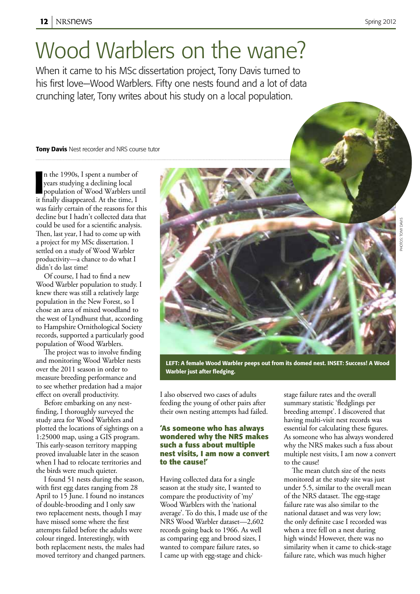## Wood Warblers on the wane?

When it came to his MSc dissertation project, Tony Davis turned to his first love—Wood Warblers. Fifty one nests found and a lot of data crunching later, Tony writes about his study on a local population.

### **Tony Davis** Nest recorder and NRS course tutor

In the 1990s, I spent a number of<br>
years studying a declining local<br>
population of Wood Warblers un<br>
it finally disappeared. At the time, I n the 1990s, I spent a number of years studying a declining local population of Wood Warblers until was fairly certain of the reasons for this decline but I hadn't collected data that could be used for a scientific analysis. Then, last year, I had to come up with a project for my MSc dissertation. I settled on a study of Wood Warbler productivity—a chance to do what I didn't do last time!

Of course, I had to find a new Wood Warbler population to study. I knew there was still a relatively large population in the New Forest, so I chose an area of mixed woodland to the west of Lyndhurst that, according to Hampshire Ornithological Society records, supported a particularly good population of Wood Warblers.

The project was to involve finding and monitoring Wood Warbler nests over the 2011 season in order to measure breeding performance and to see whether predation had a major effect on overall productivity.

Before embarking on any nestfinding, I thoroughly surveyed the study area for Wood Warblers and plotted the locations of sightings on a 1:25000 map, using a GIS program. This early-season territory mapping proved invaluable later in the season when I had to relocate territories and the birds were much quieter.

I found 51 nests during the season, with first egg dates ranging from 28 April to 15 June. I found no instances of double-brooding and I only saw two replacement nests, though I may have missed some where the first attempts failed before the adults were colour ringed. Interestingly, with both replacement nests, the males had moved territory and changed partners.



LEFT: A female Wood Warbler peeps out from its domed nest. INSET: Success! A Wood Warbler just after fledging.

I also observed two cases of adults feeding the young of other pairs after their own nesting attempts had failed.

### **'As someone who has always wondered why the NRS makes such a fuss about multiple nest visits, I am now a convert to the cause!'**

Having collected data for a single season at the study site, I wanted to compare the productivity of 'my' Wood Warblers with the 'national average'. To do this, I made use of the NRS Wood Warbler dataset—2,602 records going back to 1966. As well as comparing egg and brood sizes, I wanted to compare failure rates, so I came up with egg-stage and chickstage failure rates and the overall summary statistic 'fledglings per breeding attempt'. I discovered that having multi-visit nest records was essential for calculating these figures. As someone who has always wondered why the NRS makes such a fuss about multiple nest visits, I am now a convert to the cause!

The mean clutch size of the nests monitored at the study site was just under 5.5, similar to the overall mean of the NRS dataset. The egg-stage failure rate was also similar to the national dataset and was very low; the only definite case I recorded was when a tree fell on a nest during high winds! However, there was no similarity when it came to chick-stage failure rate, which was much higher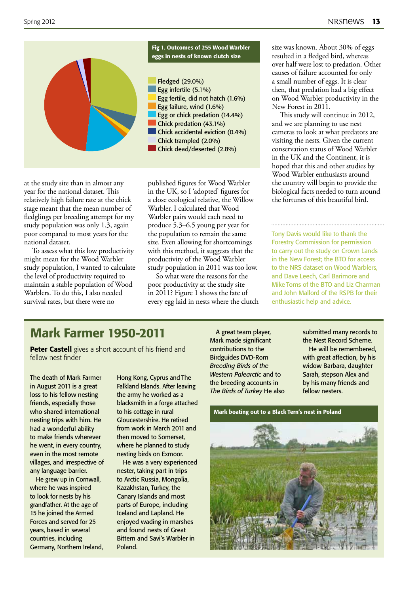

at the study site than in almost any year for the national dataset. This relatively high failure rate at the chick stage meant that the mean number of fledglings per breeding attempt for my study population was only 1.3, again poor compared to most years for the national dataset.

To assess what this low productivity might mean for the Wood Warbler study population, I wanted to calculate the level of productivity required to maintain a stable population of Wood Warblers. To do this, I also needed survival rates, but there were no

published figures for Wood Warbler in the UK, so I 'adopted' figures for a close ecological relative, the Willow Warbler. I calculated that Wood Warbler pairs would each need to produce 5.3–6.5 young per year for the population to remain the same size. Even allowing for shortcomings with this method, it suggests that the productivity of the Wood Warbler study population in 2011 was too low.

So what were the reasons for the poor productivity at the study site in 2011? Figure 1 shows the fate of every egg laid in nests where the clutch size was known. About 30% of eggs resulted in a fledged bird, whereas over half were lost to predation. Other causes of failure accounted for only a small number of eggs. It is clear then, that predation had a big effect on Wood Warbler productivity in the New Forest in 2011.

This study will continue in 2012, and we are planning to use nest cameras to look at what predators are visiting the nests. Given the current conservation status of Wood Warbler in the UK and the Continent, it is hoped that this and other studies by Wood Warbler enthusiasts around the country will begin to provide the biological facts needed to turn around the fortunes of this beautiful bird.

Tony Davis would like to thank the Forestry Commission for permission to carry out the study on Crown Lands in the New Forest; the BTO for access to the NRS dataset on Wood Warblers, and Dave Leech, Carl Barimore and Mike Toms of the BTO and Liz Charman and John Mallord of the RSPB for their enthusiastic help and advice.

### Mark Farmer 1950-2011

Peter Castell gives a short account of his friend and fellow nest finder

The death of Mark Farmer in August 2011 is a great loss to his fellow nesting friends, especially those who shared international nesting trips with him. He had a wonderful ability to make friends wherever he went, in every country, even in the most remote villages, and irrespective of any language barrier.

He grew up in Cornwall, where he was inspired to look for nests by his grandfather. At the age of 15 he joined the Armed Forces and served for 25 years, based in several countries, including Germany, Northern Ireland,

Hong Kong, Cyprus and The Falkland Islands. After leaving the army he worked as a blacksmith in a forge attached to his cottage in rural Gloucestershire. He retired from work in March 2011 and then moved to Somerset, where he planned to study nesting birds on Exmoor.

He was a very experienced nester, taking part in trips to Arctic Russia, Mongolia, Kazakhstan, Turkey, the Canary Islands and most parts of Europe, including Iceland and Lapland. He enjoyed wading in marshes and found nests of Great Bittern and Savi's Warbler in Poland.

A great team player, Mark made significant contributions to the Birdguides DVD-Rom *Breeding Birds of the Western Palearctic* and to the breeding accounts in *The Birds of Turkey* He also submitted many records to the Nest Record Scheme. He will be remembered, with great affection, by his widow Barbara, daughter Sarah, stepson Alex and by his many friends and fellow nesters.

Mark boating out to a Black Tern's nest in Poland

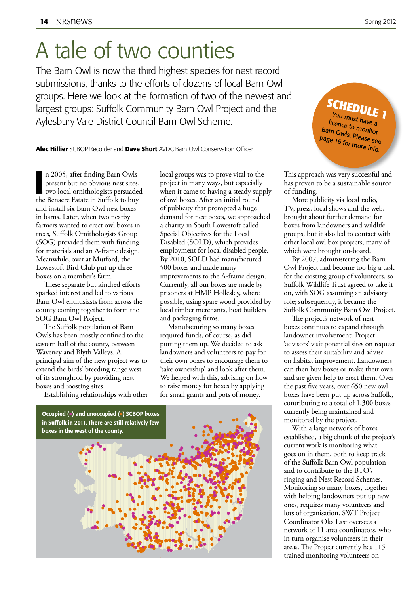## A tale of two counties

The Barn Owl is now the third highest species for nest record submissions, thanks to the efforts of dozens of local Barn Owl groups. Here we look at the formation of two of the newest and largest groups: Suffolk Community Barn Owl Project and the Aylesbury Vale District Council Barn Owl Scheme.

**SCHEDULE**<br>You must have a **e 1** You must have a<br>licence to monitor Barn Owls. Please see page 16 for more info.

### Alec Hillier SCBOP Recorder and Dave Short AVDC Barn Owl Conservation Officer

In 2005, after finding Barn Owls<br>present but no obvious nest sites,<br>two local ornithologists persuaded<br>the Benacre Estate in Suffolk to buy n 2005, after finding Barn Owls present but no obvious nest sites, two local ornithologists persuaded and install six Barn Owl nest boxes in barns. Later, when two nearby farmers wanted to erect owl boxes in trees, Suffolk Ornithologists Group (SOG) provided them with funding for materials and an A-frame design. Meanwhile, over at Mutford, the Lowestoft Bird Club put up three boxes on a member's farm.

These separate but kindred efforts sparked interest and led to various Barn Owl enthusiasts from across the county coming together to form the SOG Barn Owl Project.

The Suffolk population of Barn Owls has been mostly confined to the eastern half of the county, between Waveney and Blyth Valleys. A principal aim of the new project was to extend the birds' breeding range west of its stronghold by providing nest boxes and roosting sites.

Establishing relationships with other

local groups was to prove vital to the project in many ways, but especially when it came to having a steady supply of owl boxes. After an initial round of publicity that prompted a huge demand for nest boxes, we approached a charity in South Lowestoft called Special Objectives for the Local Disabled (SOLD), which provides employment for local disabled people. By 2010, SOLD had manufactured 500 boxes and made many improvements to the A-frame design. Currently, all our boxes are made by prisoners at HMP Hollesley, where possible, using spare wood provided by local timber merchants, boat builders and packaging firms.

Manufacturing so many boxes required funds, of course, as did putting them up. We decided to ask landowners and volunteers to pay for their own boxes to encourage them to 'take ownership' and look after them. We helped with this, advising on how to raise money for boxes by applying for small grants and pots of money.



This approach was very successful and has proven to be a sustainable source of funding.

More publicity via local radio, TV, press, local shows and the web, brought about further demand for boxes from landowners and wildlife groups, but it also led to contact with other local owl box projects, many of which were brought on-board.

By 2007, administering the Barn Owl Project had become too big a task for the existing group of volunteers, so Suffolk Wildlife Trust agreed to take it on, with SOG assuming an advisory role; subsequently, it became the Suffolk Community Barn Owl Project.

The project's network of nest boxes continues to expand through landowner involvement. Project 'advisors' visit potential sites on request to assess their suitability and advise on habitat improvement. Landowners can then buy boxes or make their own and are given help to erect them. Over the past five years, over 650 new owl boxes have been put up across Suffolk, contributing to a total of 1,300 boxes currently being maintained and monitored by the project.

With a large network of boxes established, a big chunk of the project's current work is monitoring what goes on in them, both to keep track of the Suffolk Barn Owl population and to contribute to the BTO's ringing and Nest Record Schemes. Monitoring so many boxes, together with helping landowners put up new ones, requires many volunteers and lots of organisation. SWT Project Coordinator Oka Last oversees a network of 11 area coordinators, who in turn organise volunteers in their areas. The Project currently has 115 trained monitoring volunteers on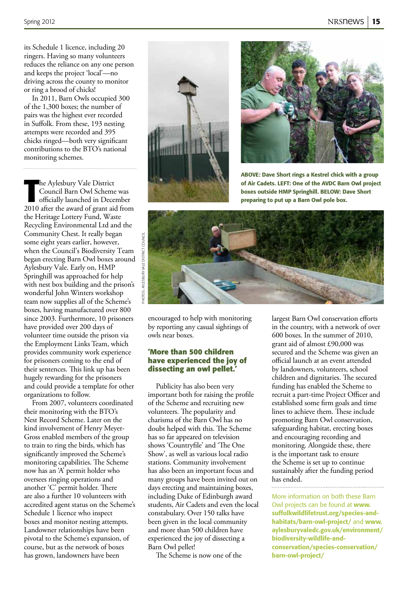its Schedule 1 licence, including 20 ringers. Having so many volunteers reduces the reliance on any one person and keeps the project 'local'—no driving across the county to monitor or ring a brood of chicks!

In 2011, Barn Owls occupied 300 of the 1,300 boxes; the number of pairs was the highest ever recorded in Suffolk. From these, 193 nesting attempts were recorded and 395 chicks ringed—both very significant contributions to the BTO's national monitoring schemes.

**The Aylesbury Vale District<br>
Council Barn Owl Scheme was<br>
officially launched in December<br>
2010 after the award of grant aid from** he Aylesbury Vale District Council Barn Owl Scheme was officially launched in December the Heritage Lottery Fund, Waste Recycling Environmental Ltd and the Community Chest. It really began some eight years earlier, however, when the Council's Biodiversity Team began erecting Barn Owl boxes around Aylesbury Vale. Early on, HMP Springhill was approached for help with nest box building and the prison's wonderful John Winters workshop team now supplies all of the Scheme's boxes, having manufactured over 800 since 2003. Furthermore, 10 prisoners have provided over 200 days of volunteer time outside the prison via the Employment Links Team, which provides community work experience for prisoners coming to the end of their sentences. This link up has been hugely rewarding for the prisoners and could provide a template for other organizations to follow.

From 2007, volunteers coordinated their monitoring with the BTO's Nest Record Scheme. Later on the kind involvement of Henry Meyer-Gross enabled members of the group to train to ring the birds, which has significantly improved the Scheme's monitoring capabilities. The Scheme now has an 'A' permit holder who oversees ringing operations and another 'C' permit holder. There are also a further 10 volunteers with accredited agent status on the Scheme's Schedule 1 licence who inspect boxes and monitor nesting attempts. Landowner relationships have been pivotal to the Scheme's expansion, of course, but as the network of boxes has grown, landowners have been





ABOVE: Dave Short rings a Kestrel chick with a group of Air Cadets. LEFT: One of the AVDC Barn Owl project boxes outside HMP Springhill. BELOW: Dave Short preparing to put up a Barn Owl pole box.



encouraged to help with monitoring by reporting any casual sightings of owls near boxes.

### **'More than 500 children have experienced the joy of dissecting an owl pellet.'**

Publicity has also been very important both for raising the profile of the Scheme and recruiting new volunteers. The popularity and charisma of the Barn Owl has no doubt helped with this. The Scheme has so far appeared on television shows 'Countryfile' and 'The One Show', as well as various local radio stations. Community involvement has also been an important focus and many groups have been invited out on days erecting and maintaining boxes, including Duke of Edinburgh award students, Air Cadets and even the local constabulary. Over 150 talks have been given in the local community and more than 500 children have experienced the joy of dissecting a Barn Owl pellet!

The Scheme is now one of the

largest Barn Owl conservation efforts in the country, with a network of over 600 boxes. In the summer of 2010, grant aid of almost £90,000 was secured and the Scheme was given an official launch at an event attended by landowners, volunteers, school children and dignitaries. The secured funding has enabled the Scheme to recruit a part-time Project Officer and established some firm goals and time lines to achieve them. These include promoting Barn Owl conservation, safeguarding habitat, erecting boxes and encouraging recording and monitoring. Alongside these, there is the important task to ensure the Scheme is set up to continue sustainably after the funding period has ended.

More information on both these Barn Owl projects can be found at www. suffolkwildlifetrust.org/species-andhabitats/barn-owl-project/ and www. aylesburyvaledc.gov.uk/environment/ biodiversity-wildlife-andconservation/species-conservation/ barn-owl-project/